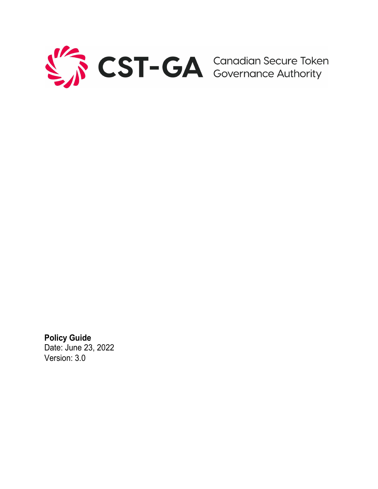

**Policy Guide** Date: June 23, 2022 Version: 3.0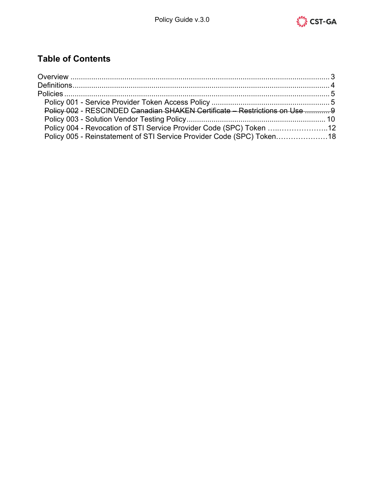

# **Table of Contents**

| Policy 002 - RESCINDED Canadian SHAKEN Certificate - Restrictions on Use  9 |  |
|-----------------------------------------------------------------------------|--|
|                                                                             |  |
| Policy 004 - Revocation of STI Service Provider Code (SPC) Token 12         |  |
| Policy 005 - Reinstatement of STI Service Provider Code (SPC) Token18       |  |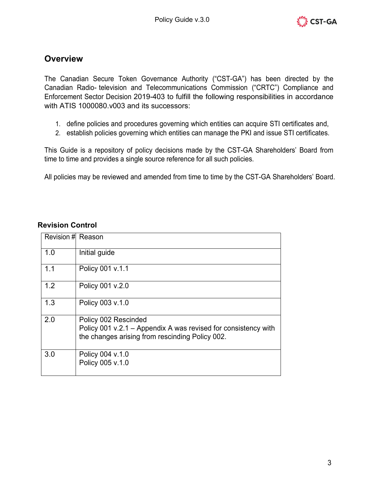

# <span id="page-2-0"></span>**Overview**

The Canadian Secure Token Governance Authority ("CST-GA") has been directed by the Canadian Radio- television and Telecommunications Commission ("CRTC") Compliance and Enforcement Sector Decision 2019-403 to fulfill the following responsibilities in accordance with ATIS 1000080.v003 and its successors:

- 1. define policies and procedures governing which entities can acquire STI certificates and,
- 2. establish policies governing which entities can manage the PKI and issue STI certificates.

This Guide is a repository of policy decisions made by the CST-GA Shareholders' Board from time to time and provides a single source reference for all such policies.

All policies may be reviewed and amended from time to time by the CST-GA Shareholders' Board.

| Revision # Reason |                                                                                                                                           |
|-------------------|-------------------------------------------------------------------------------------------------------------------------------------------|
| 1.0               | Initial guide                                                                                                                             |
| 1.1               | Policy 001 v.1.1                                                                                                                          |
| 1.2               | Policy 001 v.2.0                                                                                                                          |
| 1.3               | Policy 003 v.1.0                                                                                                                          |
| 2.0               | Policy 002 Rescinded<br>Policy 001 v.2.1 – Appendix A was revised for consistency with<br>the changes arising from rescinding Policy 002. |
| 3.0               | Policy 004 v.1.0<br>Policy 005 v.1.0                                                                                                      |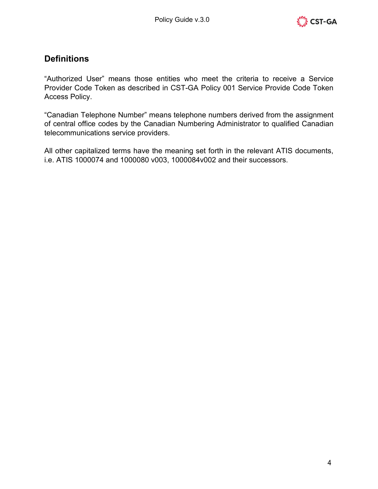

# <span id="page-3-0"></span>**Definitions**

"Authorized User" means those entities who meet the criteria to receive a Service Provider Code Token as described in CST-GA Policy 001 Service Provide Code Token Access Policy.

"Canadian Telephone Number" means telephone numbers derived from the assignment of central office codes by the Canadian Numbering Administrator to qualified Canadian telecommunications service providers.

All other capitalized terms have the meaning set forth in the relevant ATIS documents, i.e. ATIS 1000074 and 1000080 v003, 1000084v002 and their successors.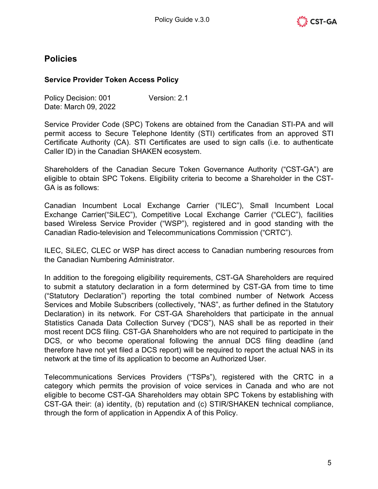

# <span id="page-4-0"></span>**Policies**

### <span id="page-4-1"></span>**Service Provider Token Access Policy**

Policy Decision: 001 Version: 2.1 Date: March 09, 2022

Service Provider Code (SPC) Tokens are obtained from the Canadian STI-PA and will permit access to Secure Telephone Identity (STI) certificates from an approved STI Certificate Authority (CA). STI Certificates are used to sign calls (i.e. to authenticate Caller ID) in the Canadian SHAKEN ecosystem.

Shareholders of the Canadian Secure Token Governance Authority ("CST-GA") are eligible to obtain SPC Tokens. Eligibility criteria to become a Shareholder in the CST-GA is as follows:

Canadian Incumbent Local Exchange Carrier ("ILEC"), Small Incumbent Local Exchange Carrier("SiLEC"), Competitive Local Exchange Carrier ("CLEC"), facilities based Wireless Service Provider ("WSP"), registered and in good standing with the Canadian Radio-television and Telecommunications Commission ("CRTC").

ILEC, SiLEC, CLEC or WSP has direct access to Canadian numbering resources from the Canadian Numbering Administrator.

In addition to the foregoing eligibility requirements, CST-GA Shareholders are required to submit a statutory declaration in a form determined by CST-GA from time to time ("Statutory Declaration") reporting the total combined number of Network Access Services and Mobile Subscribers (collectively, "NAS", as further defined in the Statutory Declaration) in its network. For CST-GA Shareholders that participate in the annual Statistics Canada Data Collection Survey ("DCS"), NAS shall be as reported in their most recent DCS filing. CST-GA Shareholders who are not required to participate in the DCS, or who become operational following the annual DCS filing deadline (and therefore have not yet filed a DCS report) will be required to report the actual NAS in its network at the time of its application to become an Authorized User.

Telecommunications Services Providers ("TSPs"), registered with the CRTC in a category which permits the provision of voice services in Canada and who are not eligible to become CST-GA Shareholders may obtain SPC Tokens by establishing with CST-GA their: (a) identity, (b) reputation and (c) STIR/SHAKEN technical compliance, through the form of application in Appendix A of this Policy.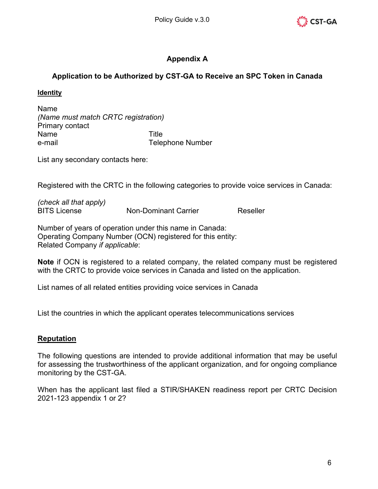

## **Appendix A**

## **Application to be Authorized by CST-GA to Receive an SPC Token in Canada**

#### **Identity**

Name *(Name must match CRTC registration)* Primary contact Name Title e-mail Telephone Number

List any secondary contacts here:

Registered with the CRTC in the following categories to provide voice services in Canada:

*(check all that apply)* BITS License Non-Dominant Carrier Reseller

Number of years of operation under this name in Canada: Operating Company Number (OCN) registered for this entity: Related Company *if applicable*:

**Note** if OCN is registered to a related company, the related company must be registered with the CRTC to provide voice services in Canada and listed on the application.

List names of all related entities providing voice services in Canada

List the countries in which the applicant operates telecommunications services

#### **Reputation**

The following questions are intended to provide additional information that may be useful for assessing the trustworthiness of the applicant organization, and for ongoing compliance monitoring by the CST-GA.

When has the applicant last filed a STIR/SHAKEN readiness report per CRTC Decision 2021-123 appendix 1 or 2?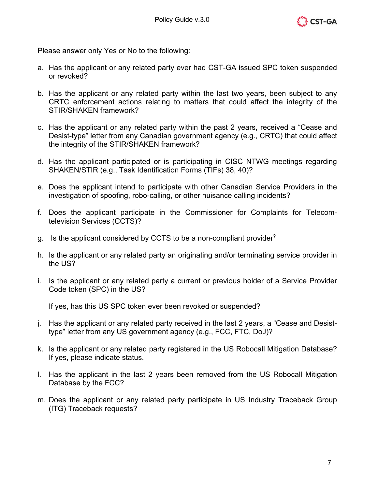

Please answer only Yes or No to the following:

- a. Has the applicant or any related party ever had CST-GA issued SPC token suspended or revoked?
- b. Has the applicant or any related party within the last two years, been subject to any CRTC enforcement actions relating to matters that could affect the integrity of the STIR/SHAKEN framework?
- c. Has the applicant or any related party within the past 2 years, received a "Cease and Desist-type" letter from any Canadian government agency (e.g., CRTC) that could affect the integrity of the STIR/SHAKEN framework?
- d. Has the applicant participated or is participating in CISC NTWG meetings regarding SHAKEN/STIR (e.g., Task Identification Forms (TIFs) 38, 40)?
- e. Does the applicant intend to participate with other Canadian Service Providers in the investigation of spoofing, robo-calling, or other nuisance calling incidents?
- f. Does the applicant participate in the Commissioner for Complaints for Telecomtelevision Services (CCTS)?
- g. Is the applicant considered by CCTS to be a non-compliant provider?
- h. Is the applicant or any related party an originating and/or terminating service provider in the US?
- i. Is the applicant or any related party a current or previous holder of a Service Provider Code token (SPC) in the US?

If yes, has this US SPC token ever been revoked or suspended?

- j. Has the applicant or any related party received in the last 2 years, a "Cease and Desisttype" letter from any US government agency (e.g., FCC, FTC, DoJ)?
- k. Is the applicant or any related party registered in the US Robocall Mitigation Database? If yes, please indicate status.
- l. Has the applicant in the last 2 years been removed from the US Robocall Mitigation Database by the FCC?
- m. Does the applicant or any related party participate in US Industry Traceback Group (ITG) Traceback requests?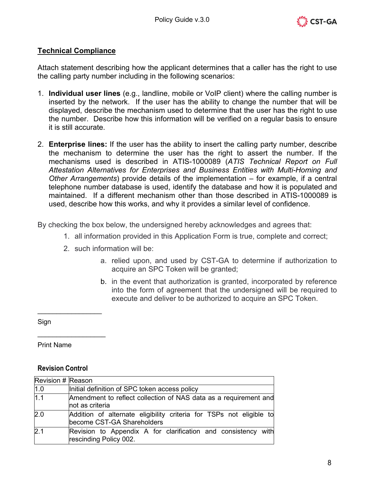

### **Technical Compliance**

Attach statement describing how the applicant determines that a caller has the right to use the calling party number including in the following scenarios:

- 1. **Individual user lines** (e.g., landline, mobile or VoIP client) where the calling number is inserted by the network. If the user has the ability to change the number that will be displayed, describe the mechanism used to determine that the user has the right to use the number. Describe how this information will be verified on a regular basis to ensure it is still accurate.
- 2. **Enterprise lines:** If the user has the ability to insert the calling party number, describe the mechanism to determine the user has the right to assert the number. If the mechanisms used is described in ATIS-1000089 (*ATIS Technical Report on Full Attestation Alternatives for Enterprises and Business Entities with Multi-Homing and Other Arrangements*) provide details of the implementation – for example, if a central telephone number database is used, identify the database and how it is populated and maintained. If a different mechanism other than those described in ATIS-1000089 is used, describe how this works, and why it provides a similar level of confidence.

By checking the box below, the undersigned hereby acknowledges and agrees that:

- 1. all information provided in this Application Form is true, complete and correct;
- 2. such information will be:
	- a. relied upon, and used by CST-GA to determine if authorization to acquire an SPC Token will be granted;
	- b. in the event that authorization is granted, incorporated by reference into the form of agreement that the undersigned will be required to execute and deliver to be authorized to acquire an SPC Token.

Sign

Print Name

#### **Revision Control**

 $\_$ 

\_\_\_\_\_\_\_\_\_\_\_\_\_\_\_\_\_\_

| Revision # Reason |                                                                                                   |
|-------------------|---------------------------------------------------------------------------------------------------|
| 1.0               | Initial definition of SPC token access policy                                                     |
| 1.1               | Amendment to reflect collection of NAS data as a requirement and<br>not as criteria               |
| 2.0               | Addition of alternate eligibility criteria for TSPs not eligible to<br>become CST-GA Shareholders |
| 2.1               | Revision to Appendix A for clarification and consistency with<br>rescinding Policy 002.           |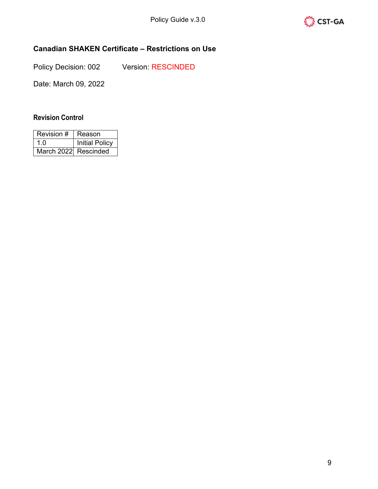

## <span id="page-8-0"></span>**Canadian SHAKEN Certificate – Restrictions on Use**

Policy Decision: 002 Version: RESCINDED

Date: March 09, 2022

| Revision #           | Reason                |
|----------------------|-----------------------|
| 1 በ                  | <b>Initial Policy</b> |
| March 2022 Rescinded |                       |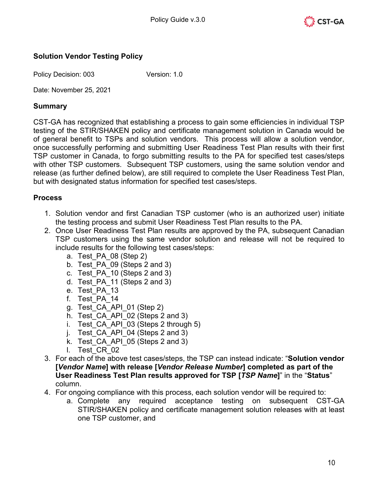

### <span id="page-9-0"></span>**Solution Vendor Testing Policy**

Policy Decision: 003 Version: 1.0

Date: November 25, 2021

#### **Summary**

CST-GA has recognized that establishing a process to gain some efficiencies in individual TSP testing of the STIR/SHAKEN policy and certificate management solution in Canada would be of general benefit to TSPs and solution vendors. This process will allow a solution vendor, once successfully performing and submitting User Readiness Test Plan results with their first TSP customer in Canada, to forgo submitting results to the PA for specified test cases/steps with other TSP customers. Subsequent TSP customers, using the same solution vendor and release (as further defined below), are still required to complete the User Readiness Test Plan, but with designated status information for specified test cases/steps.

### **Process**

- 1. Solution vendor and first Canadian TSP customer (who is an authorized user) initiate the testing process and submit User Readiness Test Plan results to the PA.
- 2. Once User Readiness Test Plan results are approved by the PA, subsequent Canadian TSP customers using the same vendor solution and release will not be required to include results for the following test cases/steps:
	- a. Test\_PA\_08 (Step 2)
	- b. Test\_PA\_09 (Steps 2 and 3)
	- c. Test\_PA\_10 (Steps 2 and 3)
	- d. Test\_PA\_11 (Steps 2 and 3)
	- e. Test\_PA\_13
	- f. Test\_PA\_14
	- g. Test\_CA\_API\_01 (Step 2)
	- h. Test CA API 02 (Steps 2 and 3)
	- i. Test CA API 03 (Steps 2 through 5)
	- j. Test  $CA$  API 04 (Steps 2 and 3)
	- k. Test CA API 05 (Steps 2 and 3)
	- l. Test\_CR\_02
- 3. For each of the above test cases/steps, the TSP can instead indicate: "**Solution vendor [***Vendor Name***] with release [***Vendor Release Number***] completed as part of the User Readiness Test Plan results approved for TSP [***TSP Name***]**" in the "**Status**" column.
- 4. For ongoing compliance with this process, each solution vendor will be required to:
	- a. Complete any required acceptance testing on subsequent CST-GA STIR/SHAKEN policy and certificate management solution releases with at least one TSP customer, and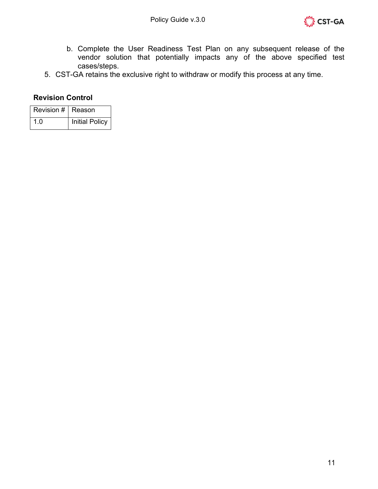

- b. Complete the User Readiness Test Plan on any subsequent release of the vendor solution that potentially impacts any of the above specified test cases/steps.
- 5. CST-GA retains the exclusive right to withdraw or modify this process at any time.

| Revision #   Reason |                       |
|---------------------|-----------------------|
| 1 በ                 | <b>Initial Policy</b> |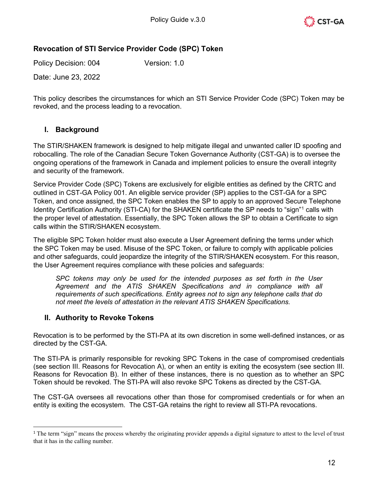

### **Revocation of STI Service Provider Code (SPC) Token**

Policy Decision: 004 Version: 1.0

Date: June 23, 2022

This policy describes the circumstances for which an STI Service Provider Code (SPC) Token may be revoked, and the process leading to a revocation.

### **I. Background**

The STIR/SHAKEN framework is designed to help mitigate illegal and unwanted caller ID spoofing and robocalling. The role of the Canadian Secure Token Governance Authority (CST-GA) is to oversee the ongoing operations of the framework in Canada and implement policies to ensure the overall integrity and security of the framework.

Service Provider Code (SPC) Tokens are exclusively for eligible entities as defined by the CRTC and outlined in CST-GA Policy 001. An eligible service provider (SP) applies to the CST-GA for a SPC Token, and once assigned, the SPC Token enables the SP to apply to an approved Secure Telephone Identity Certification Authority (STI-CA) for the SHAKEN certificate the SP needs to "sign"[1](#page-11-0) calls with the proper level of attestation. Essentially, the SPC Token allows the SP to obtain a Certificate to sign calls within the STIR/SHAKEN ecosystem.

The eligible SPC Token holder must also execute a User Agreement defining the terms under which the SPC Token may be used. Misuse of the SPC Token, or failure to comply with applicable policies and other safeguards, could jeopardize the integrity of the STIR/SHAKEN ecosystem. For this reason, the User Agreement requires compliance with these policies and safeguards:

*SPC tokens may only be used for the intended purposes as set forth in the User Agreement and the ATIS SHAKEN Specifications and in compliance with all requirements of such specifications. Entity agrees not to sign any telephone calls that do not meet the levels of attestation in the relevant ATIS SHAKEN Specifications.*

#### **II. Authority to Revoke Tokens**

Revocation is to be performed by the STI-PA at its own discretion in some well-defined instances, or as directed by the CST-GA.

The STI-PA is primarily responsible for revoking SPC Tokens in the case of compromised credentials (see section III. Reasons for Revocation A), or when an entity is exiting the ecosystem (see section III. Reasons for Revocation B). In either of these instances, there is no question as to whether an SPC Token should be revoked. The STI-PA will also revoke SPC Tokens as directed by the CST-GA.

The CST-GA oversees all revocations other than those for compromised credentials or for when an entity is exiting the ecosystem. The CST-GA retains the right to review all STI-PA revocations.

<span id="page-11-0"></span><sup>&</sup>lt;sup>1</sup> The term "sign" means the process whereby the originating provider appends a digital signature to attest to the level of trust that it has in the calling number.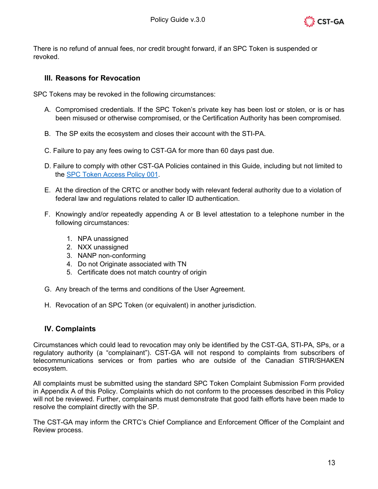

There is no refund of annual fees, nor credit brought forward, if an SPC Token is suspended or revoked.

#### **III. Reasons for Revocation**

SPC Tokens may be revoked in the following circumstances:

- A. Compromised credentials. If the SPC Token's private key has been lost or stolen, or is or has been misused or otherwise compromised, or the Certification Authority has been compromised.
- B. The SP exits the ecosystem and closes their account with the STI-PA.
- C. Failure to pay any fees owing to CST-GA for more than 60 days past due.
- D. Failure to comply with other CST-GA Policies contained in this Guide, including but not limited to the [SPC Token Access Policy](#page-4-1) 001.
- E. At the direction of the CRTC or another body with relevant federal authority due to a violation of federal law and regulations related to caller ID authentication.
- F. Knowingly and/or repeatedly appending A or B level attestation to a telephone number in the following circumstances:
	- 1. NPA unassigned
	- 2. NXX unassigned
	- 3. NANP non-conforming
	- 4. Do not Originate associated with TN
	- 5. Certificate does not match country of origin
- G. Any breach of the terms and conditions of the User Agreement.
- H. Revocation of an SPC Token (or equivalent) in another jurisdiction.

### **IV. Complaints**

Circumstances which could lead to revocation may only be identified by the CST-GA, STI-PA, SPs, or a regulatory authority (a "complainant"). CST-GA will not respond to complaints from subscribers of telecommunications services or from parties who are outside of the Canadian STIR/SHAKEN ecosystem.

All complaints must be submitted using the standard SPC Token Complaint Submission Form provided in Appendix A of this Policy. Complaints which do not conform to the processes described in this Policy will not be reviewed. Further, complainants must demonstrate that good faith efforts have been made to resolve the complaint directly with the SP.

The CST-GA may inform the CRTC's Chief Compliance and Enforcement Officer of the Complaint and Review process.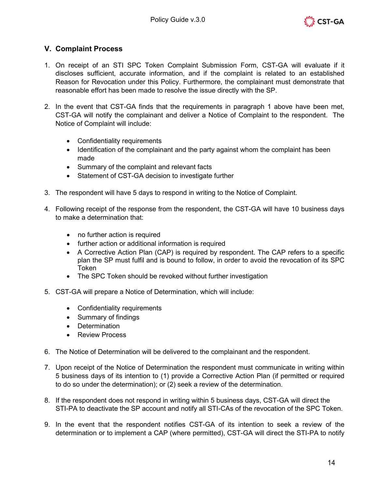

### **V. Complaint Process**

- 1. On receipt of an STI SPC Token Complaint Submission Form, CST-GA will evaluate if it discloses sufficient, accurate information, and if the complaint is related to an established Reason for Revocation under this Policy. Furthermore, the complainant must demonstrate that reasonable effort has been made to resolve the issue directly with the SP.
- 2. In the event that CST-GA finds that the requirements in paragraph 1 above have been met, CST-GA will notify the complainant and deliver a Notice of Complaint to the respondent. The Notice of Complaint will include:
	- Confidentiality requirements
	- Identification of the complainant and the party against whom the complaint has been made
	- Summary of the complaint and relevant facts
	- Statement of CST-GA decision to investigate further
- 3. The respondent will have 5 days to respond in writing to the Notice of Complaint.
- 4. Following receipt of the response from the respondent, the CST-GA will have 10 business days to make a determination that:
	- no further action is required
	- further action or additional information is required
	- A Corrective Action Plan (CAP) is required by respondent. The CAP refers to a specific plan the SP must fulfil and is bound to follow, in order to avoid the revocation of its SPC Token
	- The SPC Token should be revoked without further investigation
- 5. CST-GA will prepare a Notice of Determination, which will include:
	- Confidentiality requirements
	- Summary of findings
	- Determination
	- Review Process
- 6. The Notice of Determination will be delivered to the complainant and the respondent.
- 7. Upon receipt of the Notice of Determination the respondent must communicate in writing within 5 business days of its intention to (1) provide a Corrective Action Plan (if permitted or required to do so under the determination); or (2) seek a review of the determination.
- 8. If the respondent does not respond in writing within 5 business days, CST-GA will direct the STI-PA to deactivate the SP account and notify all STI-CAs of the revocation of the SPC Token.
- 9. In the event that the respondent notifies CST-GA of its intention to seek a review of the determination or to implement a CAP (where permitted), CST-GA will direct the STI-PA to notify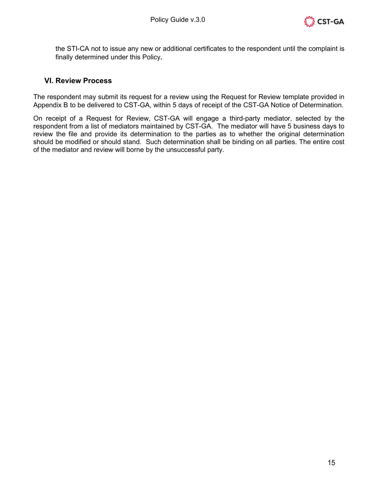

the STI-CA not to issue any new or additional certificates to the respondent until the complaint is finally determined under this Policy**.**

#### **VI. Review Process**

The respondent may submit its request for a review using the Request for Review template provided in Appendix B to be delivered to CST-GA, within 5 days of receipt of the CST-GA Notice of Determination.

On receipt of a Request for Review, CST-GA will engage a third-party mediator, selected by the respondent from a list of mediators maintained by CST-GA. The mediator will have 5 business days to review the file and provide its determination to the parties as to whether the original determination should be modified or should stand. Such determination shall be binding on all parties. The entire cost of the mediator and review will borne by the unsuccessful party.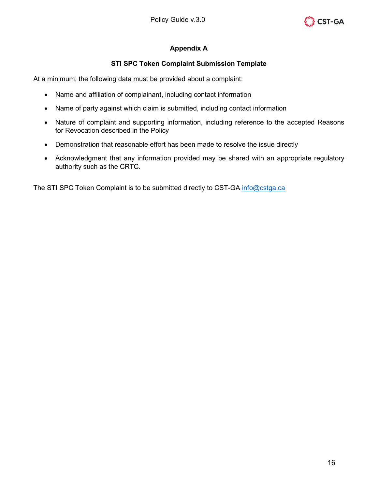

### **Appendix A**

#### **STI SPC Token Complaint Submission Template**

At a minimum, the following data must be provided about a complaint:

- Name and affiliation of complainant, including contact information
- Name of party against which claim is submitted, including contact information
- Nature of complaint and supporting information, including reference to the accepted Reasons for Revocation described in the Policy
- Demonstration that reasonable effort has been made to resolve the issue directly
- Acknowledgment that any information provided may be shared with an appropriate regulatory authority such as the CRTC.

The STI SPC Token Complaint is to be submitted directly to CST-GA info@cstga.ca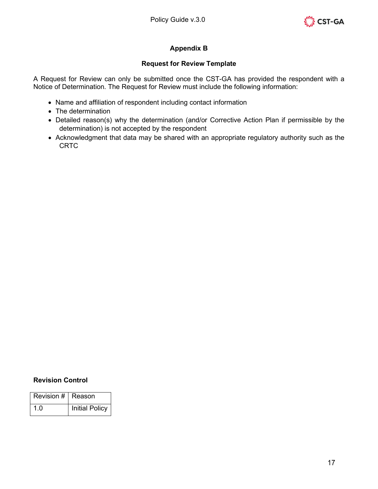

### **Appendix B**

#### **Request for Review Template**

A Request for Review can only be submitted once the CST-GA has provided the respondent with a Notice of Determination. The Request for Review must include the following information:

- Name and affiliation of respondent including contact information
- The determination
- Detailed reason(s) why the determination (and/or Corrective Action Plan if permissible by the determination) is not accepted by the respondent
- Acknowledgment that data may be shared with an appropriate regulatory authority such as the CRTC

| Revision #   Reason |                       |
|---------------------|-----------------------|
| 1 ()                | <b>Initial Policy</b> |